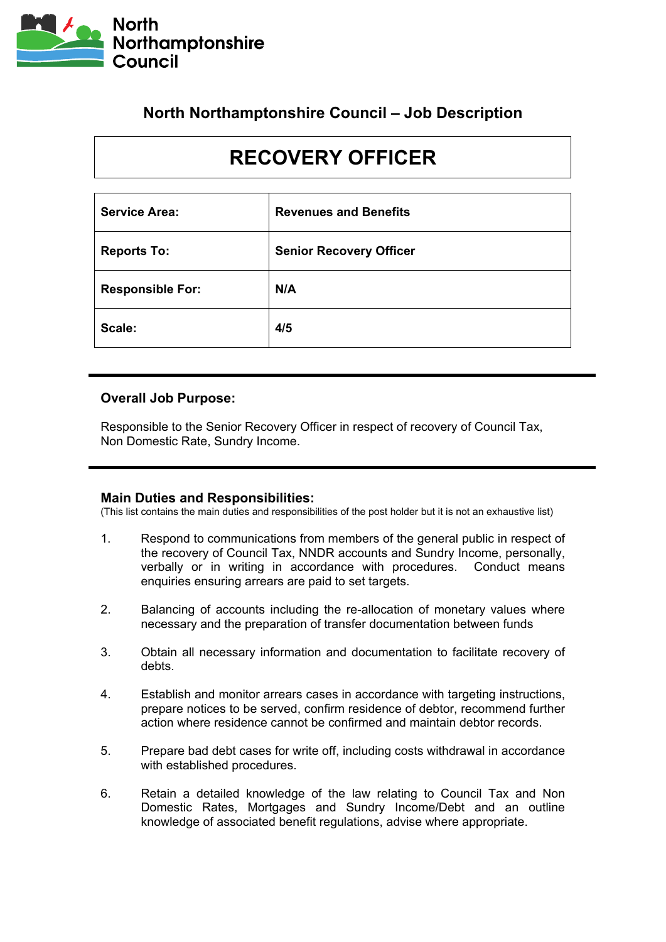

## **North Northamptonshire Council – Job Description**

# **RECOVERY OFFICER**

| <b>Service Area:</b>    | <b>Revenues and Benefits</b>   |
|-------------------------|--------------------------------|
| <b>Reports To:</b>      | <b>Senior Recovery Officer</b> |
| <b>Responsible For:</b> | N/A                            |
| Scale:                  | 4/5                            |

#### **Overall Job Purpose:**

Responsible to the Senior Recovery Officer in respect of recovery of Council Tax, Non Domestic Rate, Sundry Income.

#### **Main Duties and Responsibilities:**

(This list contains the main duties and responsibilities of the post holder but it is not an exhaustive list)

- 1. Respond to communications from members of the general public in respect of the recovery of Council Tax, NNDR accounts and Sundry Income, personally, verbally or in writing in accordance with procedures. Conduct means enquiries ensuring arrears are paid to set targets.
- 2. Balancing of accounts including the re-allocation of monetary values where necessary and the preparation of transfer documentation between funds
- 3. Obtain all necessary information and documentation to facilitate recovery of debts.
- 4. Establish and monitor arrears cases in accordance with targeting instructions, prepare notices to be served, confirm residence of debtor, recommend further action where residence cannot be confirmed and maintain debtor records.
- 5. Prepare bad debt cases for write off, including costs withdrawal in accordance with established procedures.
- 6. Retain a detailed knowledge of the law relating to Council Tax and Non Domestic Rates, Mortgages and Sundry Income/Debt and an outline knowledge of associated benefit regulations, advise where appropriate.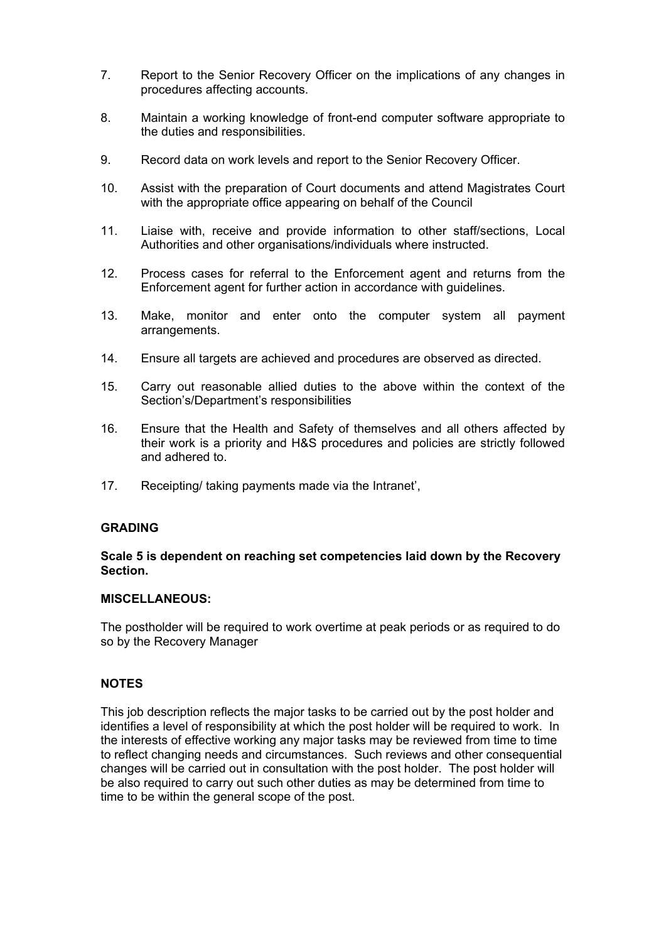- 7. Report to the Senior Recovery Officer on the implications of any changes in procedures affecting accounts.
- 8. Maintain a working knowledge of front-end computer software appropriate to the duties and responsibilities.
- 9. Record data on work levels and report to the Senior Recovery Officer.
- 10. Assist with the preparation of Court documents and attend Magistrates Court with the appropriate office appearing on behalf of the Council
- 11. Liaise with, receive and provide information to other staff/sections, Local Authorities and other organisations/individuals where instructed.
- 12. Process cases for referral to the Enforcement agent and returns from the Enforcement agent for further action in accordance with guidelines.
- 13. Make, monitor and enter onto the computer system all payment arrangements.
- 14. Ensure all targets are achieved and procedures are observed as directed.
- 15. Carry out reasonable allied duties to the above within the context of the Section's/Department's responsibilities
- 16. Ensure that the Health and Safety of themselves and all others affected by their work is a priority and H&S procedures and policies are strictly followed and adhered to.
- 17. Receipting/ taking payments made via the Intranet',

#### **GRADING**

#### **Scale 5 is dependent on reaching set competencies laid down by the Recovery Section.**

#### **MISCELLANEOUS:**

The postholder will be required to work overtime at peak periods or as required to do so by the Recovery Manager

#### **NOTES**

This job description reflects the major tasks to be carried out by the post holder and identifies a level of responsibility at which the post holder will be required to work. In the interests of effective working any major tasks may be reviewed from time to time to reflect changing needs and circumstances. Such reviews and other consequential changes will be carried out in consultation with the post holder. The post holder will be also required to carry out such other duties as may be determined from time to time to be within the general scope of the post.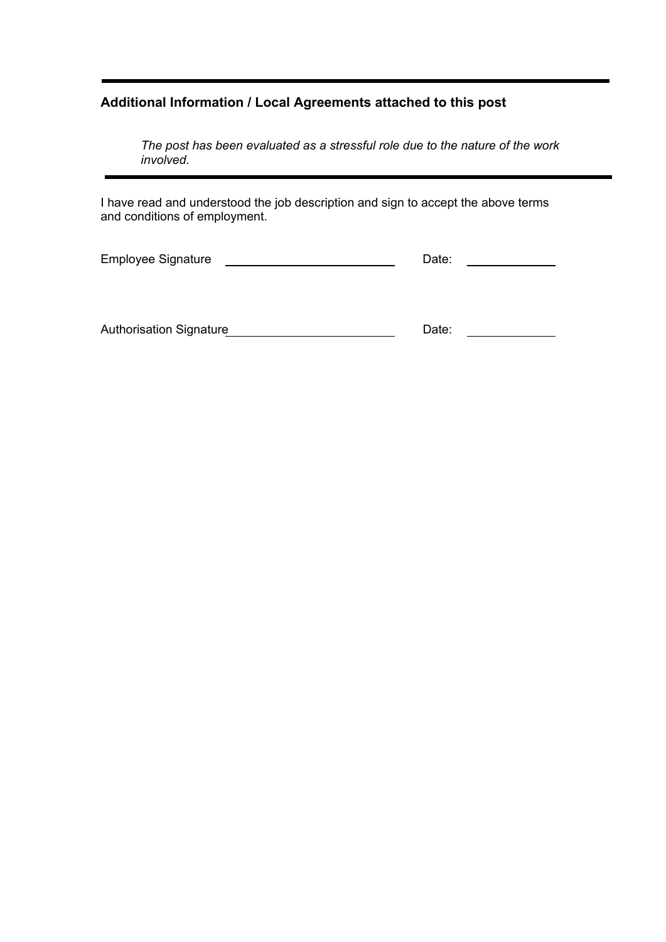## **Additional Information / Local Agreements attached to this post**

*The post has been evaluated as a stressful role due to the nature of the work involved.*

I have read and understood the job description and sign to accept the above terms and conditions of employment.

| <b>Employee Signature</b> |  |
|---------------------------|--|
|---------------------------|--|

Authorisation Signature
<br>
Date: